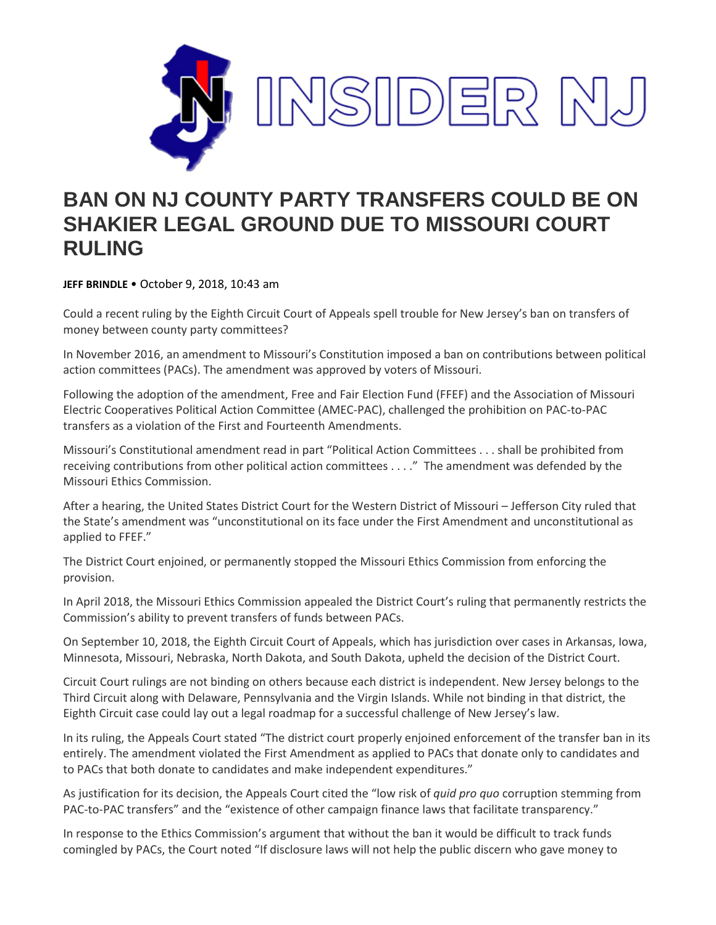

## **BAN ON NJ COUNTY PARTY TRANSFERS COULD BE ON SHAKIER LEGAL GROUND DUE TO MISSOURI COURT RULING**

**JEFF BRINDLE** • October 9, 2018, 10:43 am

Could a recent ruling by the Eighth Circuit Court of Appeals spell trouble for New Jersey's ban on transfers of money between county party committees?

In November 2016, an amendment to Missouri's Constitution imposed a ban on contributions between political action committees (PACs). The amendment was approved by voters of Missouri.

Following the adoption of the amendment, Free and Fair Election Fund (FFEF) and the Association of Missouri Electric Cooperatives Political Action Committee (AMEC-PAC), challenged the prohibition on PAC-to-PAC transfers as a violation of the First and Fourteenth Amendments.

Missouri's Constitutional amendment read in part "Political Action Committees . . . shall be prohibited from receiving contributions from other political action committees . . . ." The amendment was defended by the Missouri Ethics Commission.

After a hearing, the United States District Court for the Western District of Missouri – Jefferson City ruled that the State's amendment was "unconstitutional on its face under the First Amendment and unconstitutional as applied to FFEF."

The District Court enjoined, or permanently stopped the Missouri Ethics Commission from enforcing the provision.

In April 2018, the Missouri Ethics Commission appealed the District Court's ruling that permanently restricts the Commission's ability to prevent transfers of funds between PACs.

On September 10, 2018, the Eighth Circuit Court of Appeals, which has jurisdiction over cases in Arkansas, Iowa, Minnesota, Missouri, Nebraska, North Dakota, and South Dakota, upheld the decision of the District Court.

Circuit Court rulings are not binding on others because each district is independent. New Jersey belongs to the Third Circuit along with Delaware, Pennsylvania and the Virgin Islands. While not binding in that district, the Eighth Circuit case could lay out a legal roadmap for a successful challenge of New Jersey's law.

In its ruling, the Appeals Court stated "The district court properly enjoined enforcement of the transfer ban in its entirely. The amendment violated the First Amendment as applied to PACs that donate only to candidates and to PACs that both donate to candidates and make independent expenditures."

As justification for its decision, the Appeals Court cited the "low risk of *quid pro quo* corruption stemming from PAC-to-PAC transfers" and the "existence of other campaign finance laws that facilitate transparency."

In response to the Ethics Commission's argument that without the ban it would be difficult to track funds comingled by PACs, the Court noted "If disclosure laws will not help the public discern who gave money to